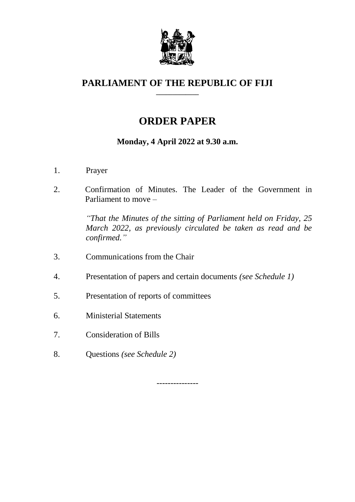

#### **PARLIAMENT OF THE REPUBLIC OF FIJI \_\_\_\_\_\_\_\_\_\_\_\_\_**

# **ORDER PAPER**

## **Monday, 4 April 2022 at 9.30 a.m.**

- 1. Prayer
- 2. Confirmation of Minutes. The Leader of the Government in Parliament to move –

*"That the Minutes of the sitting of Parliament held on Friday, 25 March 2022, as previously circulated be taken as read and be confirmed."*

- 3. Communications from the Chair
- 4. Presentation of papers and certain documents *(see Schedule 1)*
- 5. Presentation of reports of committees
- 6. Ministerial Statements
- 7. Consideration of Bills
- 8. Questions *(see Schedule 2)*

---------------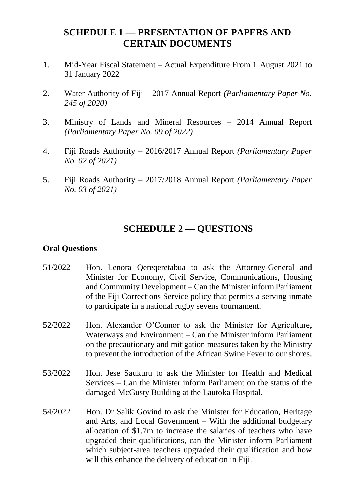## **SCHEDULE 1 — PRESENTATION OF PAPERS AND CERTAIN DOCUMENTS**

- 1. Mid-Year Fiscal Statement Actual Expenditure From 1 August 2021 to 31 January 2022
- 2. Water Authority of Fiji 2017 Annual Report *(Parliamentary Paper No. 245 of 2020)*
- 3. Ministry of Lands and Mineral Resources 2014 Annual Report *(Parliamentary Paper No. 09 of 2022)*
- 4. Fiji Roads Authority 2016/2017 Annual Report *(Parliamentary Paper No. 02 of 2021)*
- 5. Fiji Roads Authority 2017/2018 Annual Report *(Parliamentary Paper No. 03 of 2021)*

## **SCHEDULE 2 — QUESTIONS**

### **Oral Questions**

- 51/2022 Hon. Lenora Qereqeretabua to ask the Attorney-General and Minister for Economy, Civil Service, Communications, Housing and Community Development – Can the Minister inform Parliament of the Fiji Corrections Service policy that permits a serving inmate to participate in a national rugby sevens tournament.
- 52/2022 Hon. Alexander O'Connor to ask the Minister for Agriculture, Waterways and Environment – Can the Minister inform Parliament on the precautionary and mitigation measures taken by the Ministry to prevent the introduction of the African Swine Fever to our shores.
- 53/2022 Hon. Jese Saukuru to ask the Minister for Health and Medical Services – Can the Minister inform Parliament on the status of the damaged McGusty Building at the Lautoka Hospital.
- 54/2022 Hon. Dr Salik Govind to ask the Minister for Education, Heritage and Arts, and Local Government – With the additional budgetary allocation of \$1.7m to increase the salaries of teachers who have upgraded their qualifications, can the Minister inform Parliament which subject-area teachers upgraded their qualification and how will this enhance the delivery of education in Fiji.